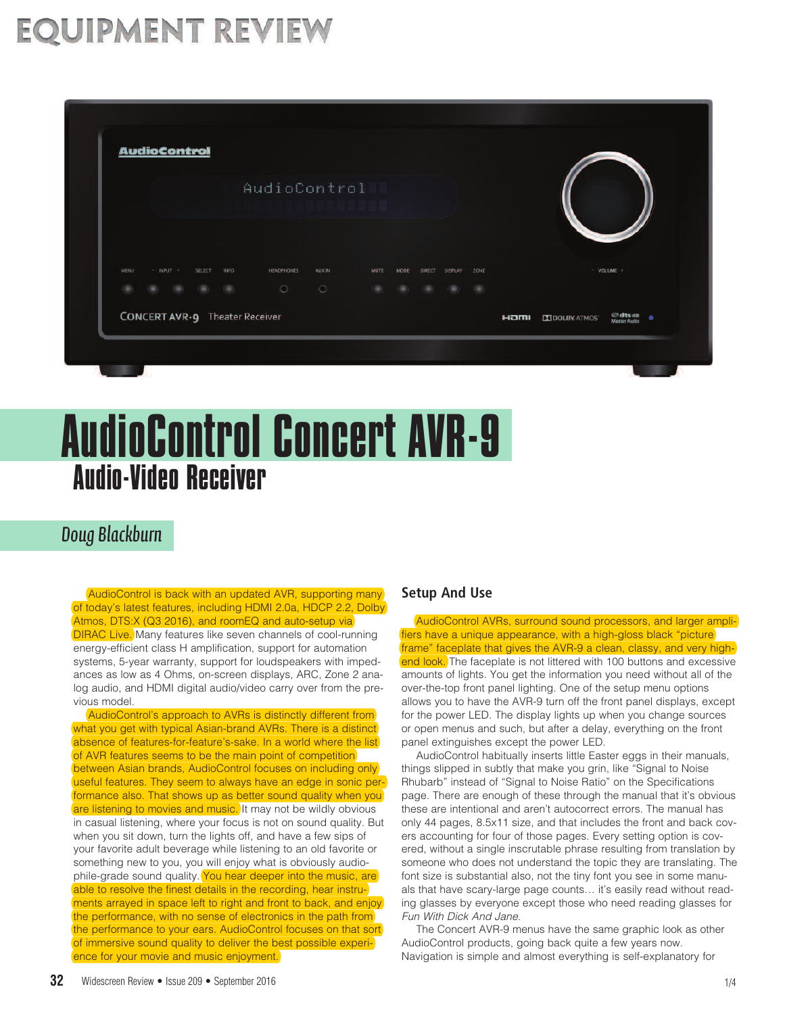## **EQUIPMENT REVIEW**

|      | AudioControl  |  |               |             |            |               |       |      |        |                |      |  |                |
|------|---------------|--|---------------|-------------|------------|---------------|-------|------|--------|----------------|------|--|----------------|
|      |               |  |               |             |            |               | 要睡觉面前 |      |        |                |      |  |                |
|      |               |  |               |             |            |               |       |      |        |                |      |  |                |
| MENU | $-$ INPUT $+$ |  | <b>SELECT</b> | <b>INFO</b> | HEADPHONES | <b>AUX IN</b> | MUTE  | MDDE | DIRECT | <b>DISPLAY</b> | ZONE |  | $-$ VOLUME $+$ |
|      |               |  |               |             | $\circ$    | $\circ$       |       |      |        |                |      |  |                |

# Audio-Video Receiver AudioControl Concert AVR-9

## *Doug Blackburn*

 AudioControl is back with an updated AVR, supporting many of today's latest features, including HDMI 2.0a, HDCP 2.2, Dolby Atmos, DTS:X (Q3 2016), and roomEQ and auto-setup via **DIRAC Live.** Many features like seven channels of cool-running energy-efficient class H amplification, support for automation systems, 5-year warranty, support for loudspeakers with impedances as low as 4 Ohms, on-screen displays, ARC, Zone 2 analog audio, and HDMI digital audio/video carry over from the previous model.

 AudioControl's approach to AVRs is distinctly different from what you get with typical Asian-brand AVRs. There is a distinct absence of features-for-feature's-sake. In a world where the list of AVR features seems to be the main point of competition between Asian brands, AudioControl focuses on including only useful features. They seem to always have an edge in sonic performance also. That shows up as better sound quality when you are listening to movies and music. It may not be wildly obvious in casual listening, where your focus is not on sound quality. But when you sit down, turn the lights off, and have a few sips of your favorite adult beverage while listening to an old favorite or something new to you, you will enjoy what is obviously audiophile-grade sound quality. You hear deeper into the music, are able to resolve the finest details in the recording, hear instruments arrayed in space left to right and front to back, and enjoy the performance, with no sense of electronics in the path from the performance to your ears. AudioControl focuses on that sort of immersive sound quality to deliver the best possible experience for your movie and music enjoyment.

## **Setup And Use**

 AudioControl AVRs, surround sound processors, and larger amplifiers have a unique appearance, with a high-gloss black "picture frame" faceplate that gives the AVR-9 a clean, classy, and very highend look. The faceplate is not littered with 100 buttons and excessive amounts of lights. You get the information you need without all of the over-the-top front panel lighting. One of the setup menu options allows you to have the AVR-9 turn off the front panel displays, except for the power LED. The display lights up when you change sources or open menus and such, but after a delay, everything on the front panel extinguishes except the power LED.

 AudioControl habitually inserts little Easter eggs in their manuals, things slipped in subtly that make you grin, like "Signal to Noise Rhubarb" instead of "Signal to Noise Ratio" on the Specifications page. There are enough of these through the manual that it's obvious these are intentional and aren't autocorrect errors. The manual has only 44 pages, 8.5x11 size, and that includes the front and back covers accounting for four of those pages. Every setting option is covered, without a single inscrutable phrase resulting from translation by someone who does not understand the topic they are translating. The font size is substantial also, not the tiny font you see in some manuals that have scary-large page counts… it's easily read without reading glasses by everyone except those who need reading glasses for *Fun With Dick And Jane*.

 The Concert AVR-9 menus have the same graphic look as other AudioControl products, going back quite a few years now. Navigation is simple and almost everything is self-explanatory for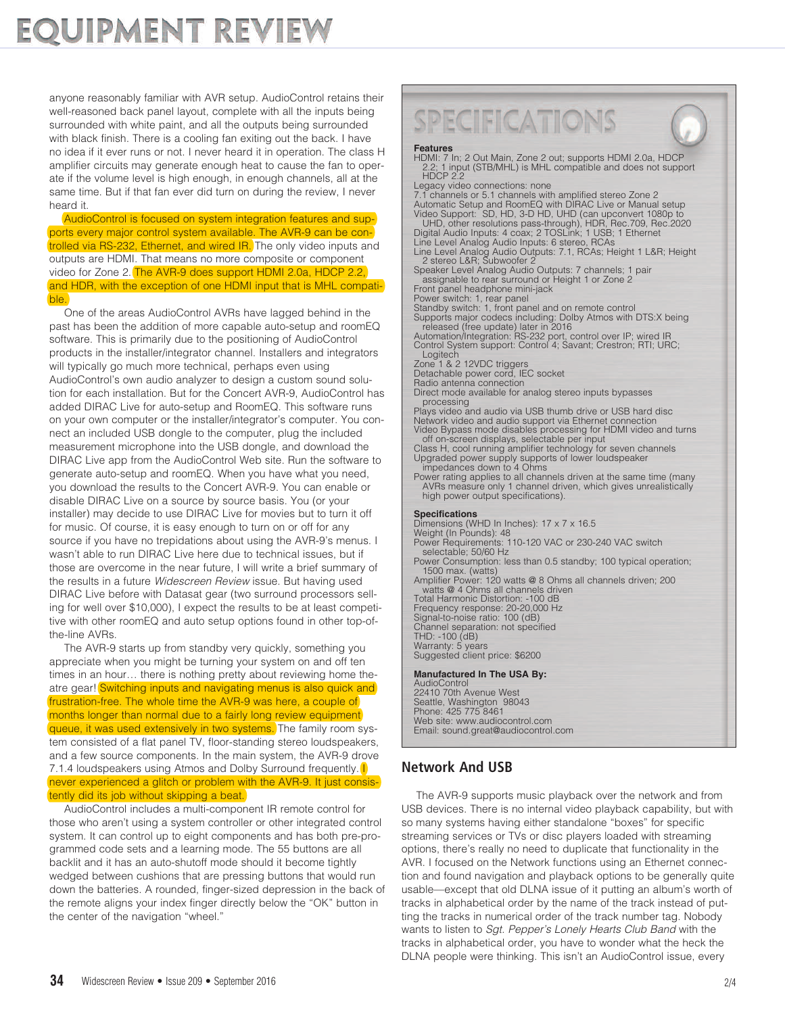## **EQUIPMENT REVIEW**

anyone reasonably familiar with AVR setup. AudioControl retains their well-reasoned back panel layout, complete with all the inputs being surrounded with white paint, and all the outputs being surrounded with black finish. There is a cooling fan exiting out the back. I have no idea if it ever runs or not. I never heard it in operation. The class H amplifier circuits may generate enough heat to cause the fan to operate if the volume level is high enough, in enough channels, all at the same time. But if that fan ever did turn on during the review, I never heard it.

 AudioControl is focused on system integration features and supports every major control system available. The AVR-9 can be controlled via RS-232, Ethernet, and wired IR. The only video inputs and outputs are HDMI. That means no more composite or component video for Zone 2. The AVR-9 does support HDMI 2.0a, HDCP 2.2, and HDR, with the exception of one HDMI input that is MHL compatible.

 One of the areas AudioControl AVRs have lagged behind in the past has been the addition of more capable auto-setup and roomEQ software. This is primarily due to the positioning of AudioControl products in the installer/integrator channel. Installers and integrators will typically go much more technical, perhaps even using AudioControl's own audio analyzer to design a custom sound solution for each installation. But for the Concert AVR-9, AudioControl has added DIRAC Live for auto-setup and RoomEQ. This software runs on your own computer or the installer/integrator's computer. You connect an included USB dongle to the computer, plug the included measurement microphone into the USB dongle, and download the DIRAC Live app from the AudioControl Web site. Run the software to generate auto-setup and roomEQ. When you have what you need, you download the results to the Concert AVR-9. You can enable or disable DIRAC Live on a source by source basis. You (or your installer) may decide to use DIRAC Live for movies but to turn it off for music. Of course, it is easy enough to turn on or off for any source if you have no trepidations about using the AVR-9's menus. I wasn't able to run DIRAC Live here due to technical issues, but if those are overcome in the near future, I will write a brief summary of the results in a future *Widescreen Review* issue. But having used DIRAC Live before with Datasat gear (two surround processors selling for well over \$10,000), I expect the results to be at least competitive with other roomEQ and auto setup options found in other top-ofthe-line AVRs.

 The AVR-9 starts up from standby very quickly, something you appreciate when you might be turning your system on and off ten times in an hour… there is nothing pretty about reviewing home theatre gear! Switching inputs and navigating menus is also quick and frustration-free. The whole time the AVR-9 was here, a couple of months longer than normal due to a fairly long review equipment queue, it was used extensively in two systems. The family room system consisted of a flat panel TV, floor-standing stereo loudspeakers, and a few source components. In the main system, the AVR-9 drove 7.1.4 loudspeakers using Atmos and Dolby Surround frequently. never experienced a glitch or problem with the AVR-9. It just consistently did its job without skipping a beat.

 AudioControl includes a multi-component IR remote control for those who aren't using a system controller or other integrated control system. It can control up to eight components and has both pre-programmed code sets and a learning mode. The 55 buttons are all backlit and it has an auto-shutoff mode should it become tightly wedged between cushions that are pressing buttons that would run down the batteries. A rounded, finger-sized depression in the back of the remote aligns your index finger directly below the "OK" button in the center of the navigation "wheel."

## SPECIFICATIONS

### **Features**

HDMI: 7 In; 2 Out Main, Zone 2 out; supports HDMI 2.0a, HDCP 2.2; 1 input (STB/MHL) is MHL compatible and does not support HDCP 2.2 Legacy video connections: none

7.1 channels or 5.1 channels with amplified stereo Zone 2 Automatic Setup and RoomEQ with DIRAC Live or Manual setup Video Support: SD, HD, 3-D HD, UHD (can upconvert 1080p to

UHD, other resolutions pass-through), HDR, Rec.709, Rec.2020 Digital Audio Inputs: 4 coax; 2 TOSLink; 1 USB; 1 Ethernet

Line Level Analog Audio Inputs: 6 stereo, RCAs Line Level Analog Audio Outputs: 7.1, RCAs; Height 1 L&R; Height 2 stereo L&R; Subwoofer 2

Speaker Level Analog Audio Outputs: 7 channels; 1 pair assignable to rear surround or Height 1 or Zone 2

Front panel headphone mini-jack

Power switch: 1, rear panel Standby switch: 1, front panel and on remote control

Supports major codecs including: Dolby Atmos with DTS:X being released (free update) later in 2016 Automation/Integration: RS-232 port, control over IP; wired IR

Control System support: Control 4; Savant; Crestron; RTI; URC; Logitech

Zone 1 & 2 12VDC triggers

Detachable power cord, IEC socket

Radio antenna connection

Direct mode available for analog stereo inputs bypasses processing<br>Plays video and audio via USB thumb drive or USB hard disc

Network video and audio support via Ethernet connection<br>Video Bypass mode disables processing for HDMI video and turns<br>off on-screen displays, selectable per input<br>Class H, cool running amplifier technology for seven chann

Cool Class H, coolegy for supports of lower for search channels Upgraded power supports of lower loudspeaker impedances down to 4 Ohms<br>In the support of the Power rating applies to all channels driven at the same time (man

AVRs measure only 1 channel driven, which gives unrealistically high power output specifications).

**Specifications**<br>Dimensions (WHD In Inches): 17 x 7 x 16.5 Weight (In Pounds): 48<br>Power Requirements: 110-120 VAC or 230-240 VAC switch

selectable; 50/60 Hz<br>Power Consumption: less than 0.5 standby; 100 typical operation;<br>1500 max. (watts)

Amplifier Power: 120 watts @ 8 Ohms all channels driven; 200<br>watts @ 4 Ohms all channels driven<br>Total Harmonic Distortion: -100 dB<br>Frequency response: 20-20,000 dBz

Signal-to-noise ratio: 100 (dB) Channel separation: not specified

THD: -100 (dB)<br>Warranty: 5 years

Suggested client price: \$6200

**Manufactured In The USA By:** AudioControl 22410 70th Avenue West Seattle, Washington 98043 Phone: 425 775 8461<br>Web site: www.audiocontrol.com Web site: www.audiocontrol.com Email: sound.great@audiocontrol.com

## **Network And USB**

 The AVR-9 supports music playback over the network and from USB devices. There is no internal video playback capability, but with so many systems having either standalone "boxes" for specific streaming services or TVs or disc players loaded with streaming options, there's really no need to duplicate that functionality in the AVR. I focused on the Network functions using an Ethernet connection and found navigation and playback options to be generally quite usable—except that old DLNA issue of it putting an album's worth of tracks in alphabetical order by the name of the track instead of putting the tracks in numerical order of the track number tag. Nobody wants to listen to *Sgt. Pepper's Lonely Hearts Club Band* with the tracks in alphabetical order, you have to wonder what the heck the DLNA people were thinking. This isn't an AudioControl issue, every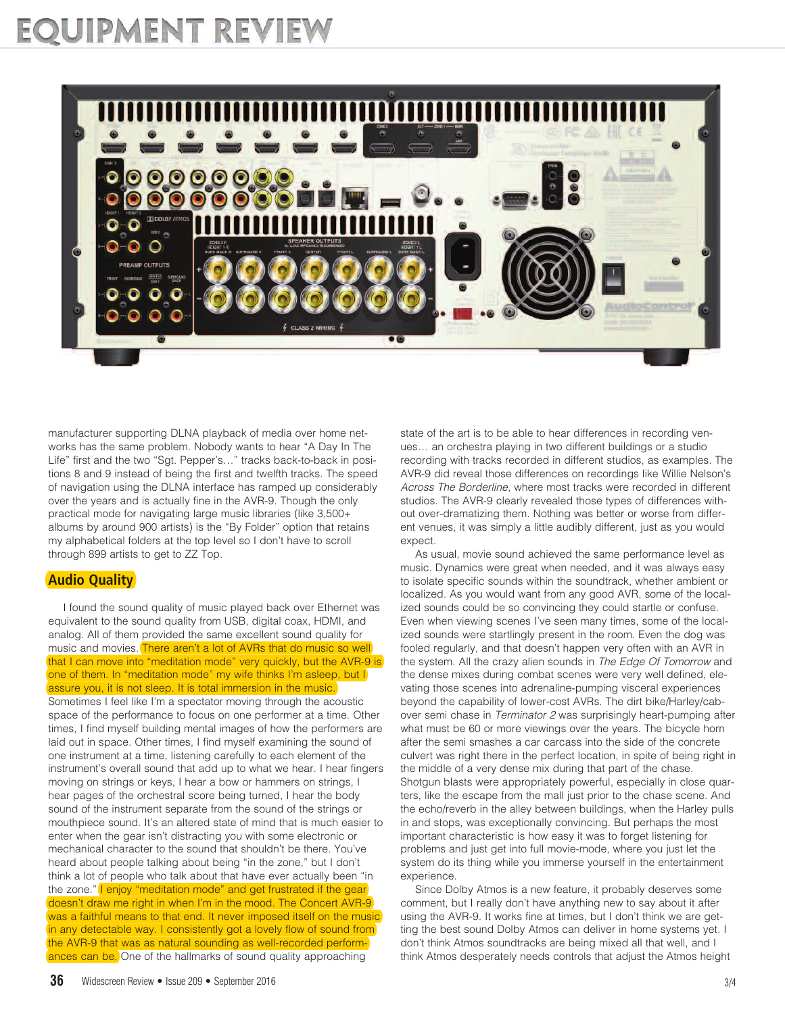## **EQUIPMENT REVIEW**



manufacturer supporting DLNA playback of media over home networks has the same problem. Nobody wants to hear "A Day In The Life" first and the two "Sgt. Pepper's…" tracks back-to-back in positions 8 and 9 instead of being the first and twelfth tracks. The speed of navigation using the DLNA interface has ramped up considerably over the years and is actually fine in the AVR-9. Though the only practical mode for navigating large music libraries (like 3,500+ albums by around 900 artists) is the "By Folder" option that retains my alphabetical folders at the top level so I don't have to scroll through 899 artists to get to ZZ Top.

### **Audio Quality**

 I found the sound quality of music played back over Ethernet was equivalent to the sound quality from USB, digital coax, HDMI, and analog. All of them provided the same excellent sound quality for music and movies. There aren't a lot of AVRs that do music so well that I can move into "meditation mode" very quickly, but the AVR-9 is one of them. In "meditation mode" my wife thinks I'm asleep, but I assure you, it is not sleep. It is total immersion in the music. Sometimes I feel like I'm a spectator moving through the acoustic space of the performance to focus on one performer at a time. Other times, I find myself building mental images of how the performers are laid out in space. Other times, I find myself examining the sound of one instrument at a time, listening carefully to each element of the instrument's overall sound that add up to what we hear. I hear fingers moving on strings or keys, I hear a bow or hammers on strings, I hear pages of the orchestral score being turned, I hear the body sound of the instrument separate from the sound of the strings or mouthpiece sound. It's an altered state of mind that is much easier to enter when the gear isn't distracting you with some electronic or mechanical character to the sound that shouldn't be there. You've heard about people talking about being "in the zone," but I don't think a lot of people who talk about that have ever actually been "in the zone." I enjoy "meditation mode" and get frustrated if the gear doesn't draw me right in when I'm in the mood. The Concert AVR-9 was a faithful means to that end. It never imposed itself on the music in any detectable way. I consistently got a lovely flow of sound from the AVR-9 that was as natural sounding as well-recorded performances can be. One of the hallmarks of sound quality approaching

state of the art is to be able to hear differences in recording venues… an orchestra playing in two different buildings or a studio recording with tracks recorded in different studios, as examples. The AVR-9 did reveal those differences on recordings like Willie Nelson's *Across The Borderline*, where most tracks were recorded in different studios. The AVR-9 clearly revealed those types of differences without over-dramatizing them. Nothing was better or worse from different venues, it was simply a little audibly different, just as you would expect

 As usual, movie sound achieved the same performance level as music. Dynamics were great when needed, and it was always easy to isolate specific sounds within the soundtrack, whether ambient or localized. As you would want from any good AVR, some of the localized sounds could be so convincing they could startle or confuse. Even when viewing scenes I've seen many times, some of the localized sounds were startlingly present in the room. Even the dog was fooled regularly, and that doesn't happen very often with an AVR in the system. All the crazy alien sounds in *The Edge Of Tomorrow* and the dense mixes during combat scenes were very well defined, elevating those scenes into adrenaline-pumping visceral experiences beyond the capability of lower-cost AVRs. The dirt bike/Harley/cabover semi chase in *Terminator 2* was surprisingly heart-pumping after what must be 60 or more viewings over the years. The bicycle horn after the semi smashes a car carcass into the side of the concrete culvert was right there in the perfect location, in spite of being right in the middle of a very dense mix during that part of the chase. Shotgun blasts were appropriately powerful, especially in close quarters, like the escape from the mall just prior to the chase scene. And the echo/reverb in the alley between buildings, when the Harley pulls in and stops, was exceptionally convincing. But perhaps the most important characteristic is how easy it was to forget listening for problems and just get into full movie-mode, where you just let the system do its thing while you immerse yourself in the entertainment experience.

 Since Dolby Atmos is a new feature, it probably deserves some comment, but I really don't have anything new to say about it after using the AVR-9. It works fine at times, but I don't think we are getting the best sound Dolby Atmos can deliver in home systems yet. I don't think Atmos soundtracks are being mixed all that well, and I think Atmos desperately needs controls that adjust the Atmos height